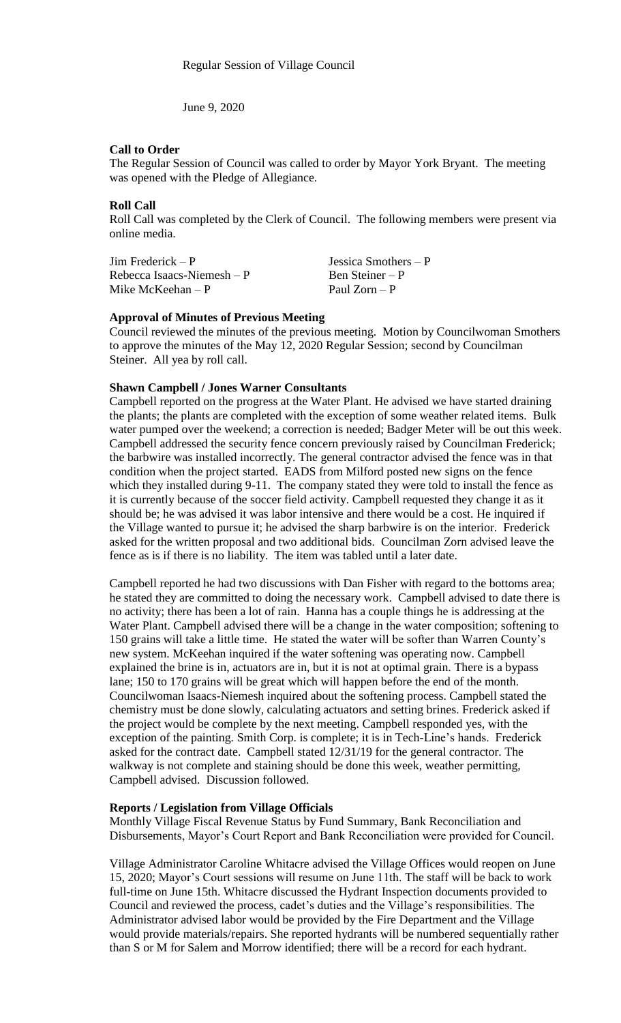June 9, 2020

### **Call to Order**

The Regular Session of Council was called to order by Mayor York Bryant. The meeting was opened with the Pledge of Allegiance.

# **Roll Call**

Roll Call was completed by the Clerk of Council. The following members were present via online media.

| $\text{Jim Frederick} - \text{P}$ | Jessica Smothers $-P$ |
|-----------------------------------|-----------------------|
| Rebecca Isaacs-Niemesh $-P$       | Ben Steiner – P       |
| Mike McKeehan $- P$               | Paul Zorn – P         |

### **Approval of Minutes of Previous Meeting**

Council reviewed the minutes of the previous meeting. Motion by Councilwoman Smothers to approve the minutes of the May 12, 2020 Regular Session; second by Councilman Steiner. All yea by roll call.

### **Shawn Campbell / Jones Warner Consultants**

Campbell reported on the progress at the Water Plant. He advised we have started draining the plants; the plants are completed with the exception of some weather related items. Bulk water pumped over the weekend; a correction is needed; Badger Meter will be out this week. Campbell addressed the security fence concern previously raised by Councilman Frederick; the barbwire was installed incorrectly. The general contractor advised the fence was in that condition when the project started. EADS from Milford posted new signs on the fence which they installed during 9-11. The company stated they were told to install the fence as it is currently because of the soccer field activity. Campbell requested they change it as it should be; he was advised it was labor intensive and there would be a cost. He inquired if the Village wanted to pursue it; he advised the sharp barbwire is on the interior. Frederick asked for the written proposal and two additional bids. Councilman Zorn advised leave the fence as is if there is no liability. The item was tabled until a later date.

Campbell reported he had two discussions with Dan Fisher with regard to the bottoms area; he stated they are committed to doing the necessary work. Campbell advised to date there is no activity; there has been a lot of rain. Hanna has a couple things he is addressing at the Water Plant. Campbell advised there will be a change in the water composition; softening to 150 grains will take a little time. He stated the water will be softer than Warren County's new system. McKeehan inquired if the water softening was operating now. Campbell explained the brine is in, actuators are in, but it is not at optimal grain. There is a bypass lane; 150 to 170 grains will be great which will happen before the end of the month. Councilwoman Isaacs-Niemesh inquired about the softening process. Campbell stated the chemistry must be done slowly, calculating actuators and setting brines. Frederick asked if the project would be complete by the next meeting. Campbell responded yes, with the exception of the painting. Smith Corp. is complete; it is in Tech-Line's hands. Frederick asked for the contract date. Campbell stated 12/31/19 for the general contractor. The walkway is not complete and staining should be done this week, weather permitting, Campbell advised. Discussion followed.

#### **Reports / Legislation from Village Officials**

Monthly Village Fiscal Revenue Status by Fund Summary, Bank Reconciliation and Disbursements, Mayor's Court Report and Bank Reconciliation were provided for Council.

Village Administrator Caroline Whitacre advised the Village Offices would reopen on June 15, 2020; Mayor's Court sessions will resume on June 11th. The staff will be back to work full-time on June 15th. Whitacre discussed the Hydrant Inspection documents provided to Council and reviewed the process, cadet's duties and the Village's responsibilities. The Administrator advised labor would be provided by the Fire Department and the Village would provide materials/repairs. She reported hydrants will be numbered sequentially rather than S or M for Salem and Morrow identified; there will be a record for each hydrant.